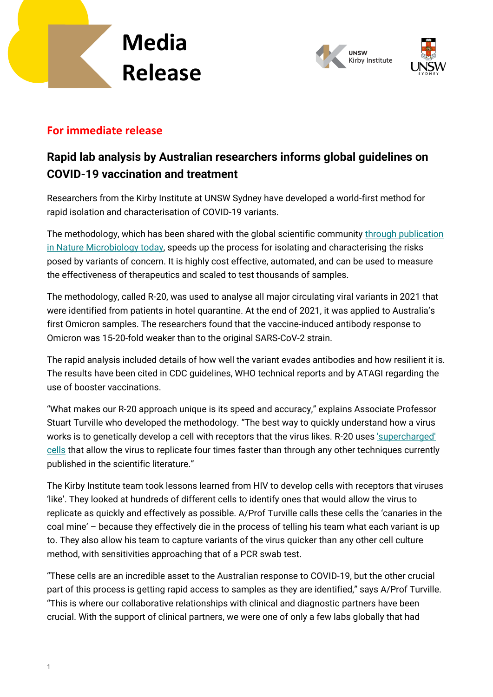



### **For immediate release**

### **Rapid lab analysis by Australian researchers informs global guidelines on COVID-19 vaccination and treatment**

Researchers from the Kirby Institute at UNSW Sydney have developed a world-first method for rapid isolation and characterisation of COVID-19 variants.

The methodology, which has been shared with the global scientific community [through publication](https://doi.org/10.1038/s41564-022-01135-7)  [in Nature Microbiology today,](https://doi.org/10.1038/s41564-022-01135-7) speeds up the process for isolating and characterising the risks posed by variants of concern. It is highly cost effective, automated, and can be used to measure the effectiveness of therapeutics and scaled to test thousands of samples.

The methodology, called R-20, was used to analyse all major circulating viral variants in 2021 that were identified from patients in hotel quarantine. At the end of 2021, it was applied to Australia's first Omicron samples. The researchers found that the vaccine-induced antibody response to Omicron was 15-20-fold weaker than to the original SARS-CoV-2 strain.

The rapid analysis included details of how well the variant evades antibodies and how resilient it is. The results have been cited in CDC guidelines, WHO technical reports and by ATAGI regarding the use of booster vaccinations.

"What makes our R-20 approach unique is its speed and accuracy," explains Associate Professor Stuart Turville who developed the methodology. "The best way to quickly understand how a virus works is to genetically develop a cell with receptors that the virus likes. R-20 uses ['supercharged'](https://www.youtube.com/watch?v=gVZhVyCBFro&t=10s)  [cells](https://www.youtube.com/watch?v=gVZhVyCBFro&t=10s) that allow the virus to replicate four times faster than through any other techniques currently published in the scientific literature."

The Kirby Institute team took lessons learned from HIV to develop cells with receptors that viruses 'like'. They looked at hundreds of different cells to identify ones that would allow the virus to replicate as quickly and effectively as possible. A/Prof Turville calls these cells the 'canaries in the coal mine' – because they effectively die in the process of telling his team what each variant is up to. They also allow his team to capture variants of the virus quicker than any other cell culture method, with sensitivities approaching that of a PCR swab test.

"These cells are an incredible asset to the Australian response to COVID-19, but the other crucial part of this process is getting rapid access to samples as they are identified," says A/Prof Turville. "This is where our collaborative relationships with clinical and diagnostic partners have been crucial. With the support of clinical partners, we were one of only a few labs globally that had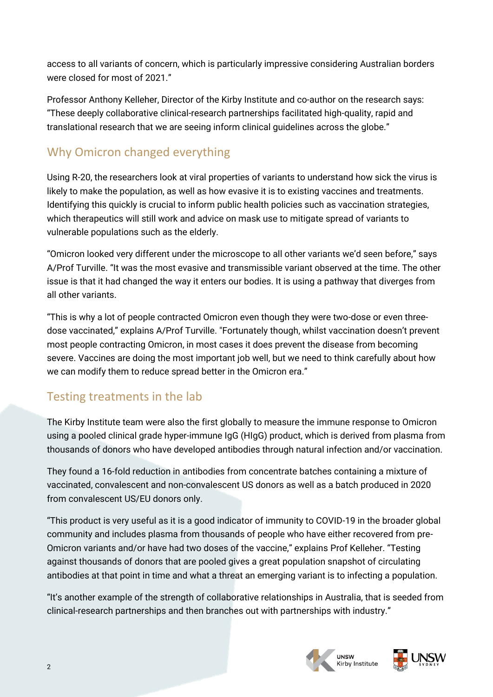access to all variants of concern, which is particularly impressive considering Australian borders were closed for most of 2021."

Professor Anthony Kelleher, Director of the Kirby Institute and co-author on the research says: "These deeply collaborative clinical-research partnerships facilitated high-quality, rapid and translational research that we are seeing inform clinical guidelines across the globe."

# Why Omicron changed everything

Using R-20, the researchers look at viral properties of variants to understand how sick the virus is likely to make the population, as well as how evasive it is to existing vaccines and treatments. Identifying this quickly is crucial to inform public health policies such as vaccination strategies, which therapeutics will still work and advice on mask use to mitigate spread of variants to vulnerable populations such as the elderly.

"Omicron looked very different under the microscope to all other variants we'd seen before," says A/Prof Turville. "It was the most evasive and transmissible variant observed at the time. The other issue is that it had changed the way it enters our bodies. It is using a pathway that diverges from all other variants.

"This is why a lot of people contracted Omicron even though they were two-dose or even threedose vaccinated," explains A/Prof Turville. "Fortunately though, whilst vaccination doesn't prevent most people contracting Omicron, in most cases it does prevent the disease from becoming severe. Vaccines are doing the most important job well, but we need to think carefully about how we can modify them to reduce spread better in the Omicron era."

## Testing treatments in the lab

The Kirby Institute team were also the first globally to measure the immune response to Omicron using a pooled clinical grade hyper-immune IgG (HIgG) product, which is derived from plasma from thousands of donors who have developed antibodies through natural infection and/or vaccination.

They found a 16-fold reduction in antibodies from concentrate batches containing a mixture of vaccinated, convalescent and non-convalescent US donors as well as a batch produced in 2020 from convalescent US/EU donors only.

"This product is very useful as it is a good indicator of immunity to COVID-19 in the broader global community and includes plasma from thousands of people who have either recovered from pre-Omicron variants and/or have had two doses of the vaccine," explains Prof Kelleher. "Testing against thousands of donors that are pooled gives a great population snapshot of circulating antibodies at that point in time and what a threat an emerging variant is to infecting a population.

"It's another example of the strength of collaborative relationships in Australia, that is seeded from clinical-research partnerships and then branches out with partnerships with industry."